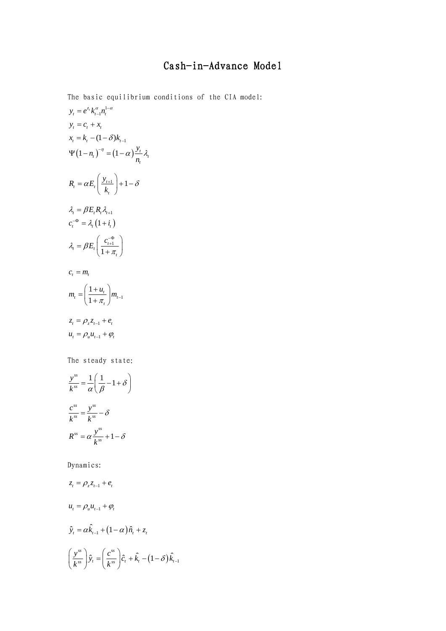## Cash-in-Advance Model

The basic equilibrium conditions of the CIA model:  $y_t = e^{z_t} k_{t-1}^{\alpha} n_t^{1-\alpha}$  $y_t = c_t + x_t$  $x_t = k_t - (1 - \delta) k_{t-1}$  $(1-n_t)^{-\eta} = (1-\alpha) \frac{y_t}{x} \lambda_t$ *t*  $y^{n} = (1 - \alpha)^{\frac{y}{n}}$ *n*  $\Psi(1-n_i)^{-\eta} = (1-\alpha)\frac{y_i}{\lambda_i}$  $T_t = \alpha E_t \left| \frac{y_{t+1}}{I} \right| + 1$ *t*  $R_i = \alpha E_i \left( \frac{y}{z} \right)$ *k*  $=\alpha E_t \left( \frac{y_{t+1}}{k_t} \right) + 1 - \delta$  $\lambda_t = \beta E_t R_t \lambda_{t+1}$  $c_i^{-\Phi} = \lambda_i (1 + i_i)$ 1 1  $\epsilon_t = \beta E_t \left| \frac{c_t}{1 + c_t} \right|$ *t*  $\lambda_{t} = \beta E_{t} \left( \frac{c_{t+1}^{-\Phi}}{1+\pi} \right)$  $=\beta E_t \left( \frac{c_{t+1}^{-\Phi}}{1+\pi_t} \right)$  $c_{t} = m_{t}$ 1 1 1  $t_t = \frac{1 + u_t}{1 - 1}$   $m_t$ *t*  $m_{t} = \left(\frac{1+u_{t}}{1+\pi_{t}}\right) m_{t-1}$  $z_t = \rho_z z_{t-1} + e_t$  $u_{t} = \rho_{u} u_{t-1} + \varphi_{t}$ The steady state:  $\frac{s}{s} = \frac{1}{s} \left( \frac{1}{2} - 1 \right)$ *ss y*  $\frac{\partial}{\partial k} = \frac{1}{\alpha} \left( \frac{1}{\beta} - 1 + \delta \right)$  $\alpha \setminus \beta$  $=\frac{1}{\alpha}\left(\frac{1}{\beta}-1+\delta\right)$ *ss ss*  $ss - l$ <sub>r</sub>ss  $\frac{c^{ss}}{k^{ss}} = \frac{y^{ss}}{k^{ss}} - \delta$  $\alpha$ <sup>*ss*</sup> $= \alpha \frac{y^{ss}}{1^{ss}} + 1$  $R^{ss} = \alpha \frac{y^{ss}}{l_{\text{r}}^{ss}}$ *k*  $=\alpha \frac{y}{1-x}+1-\delta$ Dynamics:  $z_t = \rho_z z_{t-1} + e_t$  $u_t = \rho_u u_{t-1} + \varphi_t$  $\hat{y}_t = \alpha \hat{k}_{t-1} + (1 - \alpha) \hat{n}_t + z_t$  $\left(\frac{\partial s}{\partial s}\right) \hat{y}_t = \left(\frac{c^{ss}}{ds}\right) \hat{c}_t + \hat{k}_t - \left(1-\delta\right) \hat{k}_{t-1}$  $\left(\frac{y^{ss}}{k^{ss}}\right)\hat{y}_t = \left(\frac{c^{ss}}{k^{ss}}\right)\hat{c}_t + \hat{k}_t - \left(1-\delta\right)\hat{k}_t.$ 

 $(k^{ss})$   $(k^{ss})$